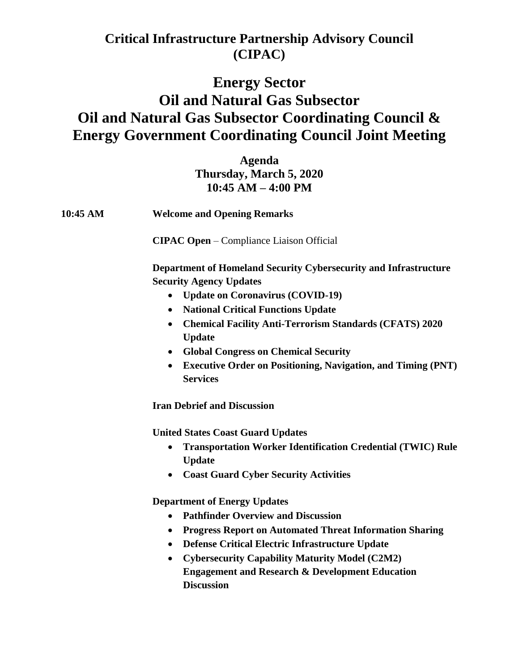### **Critical Infrastructure Partnership Advisory Council (CIPAC)**

# **Energy Sector Oil and Natural Gas Subsector Oil and Natural Gas Subsector Coordinating Council & Energy Government Coordinating Council Joint Meeting**

**Agenda Thursday, March 5, 2020 10:45 AM – 4:00 PM** 

**10:45 AM Welcome and Opening Remarks** 

**CIPAC Open** – Compliance Liaison Official

**Department of Homeland Security Cybersecurity and Infrastructure Security Agency Updates** 

- **Update on Coronavirus (COVID-19)**
- **National Critical Functions Update**
- **Chemical Facility Anti-Terrorism Standards (CFATS) 2020 Update**
- **Global Congress on Chemical Security**
- **Executive Order on Positioning, Navigation, and Timing (PNT) Services**

**Iran Debrief and Discussion** 

**United States Coast Guard Updates** 

- **Transportation Worker Identification Credential (TWIC) Rule Update**
- **Coast Guard Cyber Security Activities**

**Department of Energy Updates** 

- **Pathfinder Overview and Discussion**
- **Progress Report on Automated Threat Information Sharing**
- **Defense Critical Electric Infrastructure Update**
- **Cybersecurity Capability Maturity Model (C2M2) Engagement and Research & Development Education Discussion**